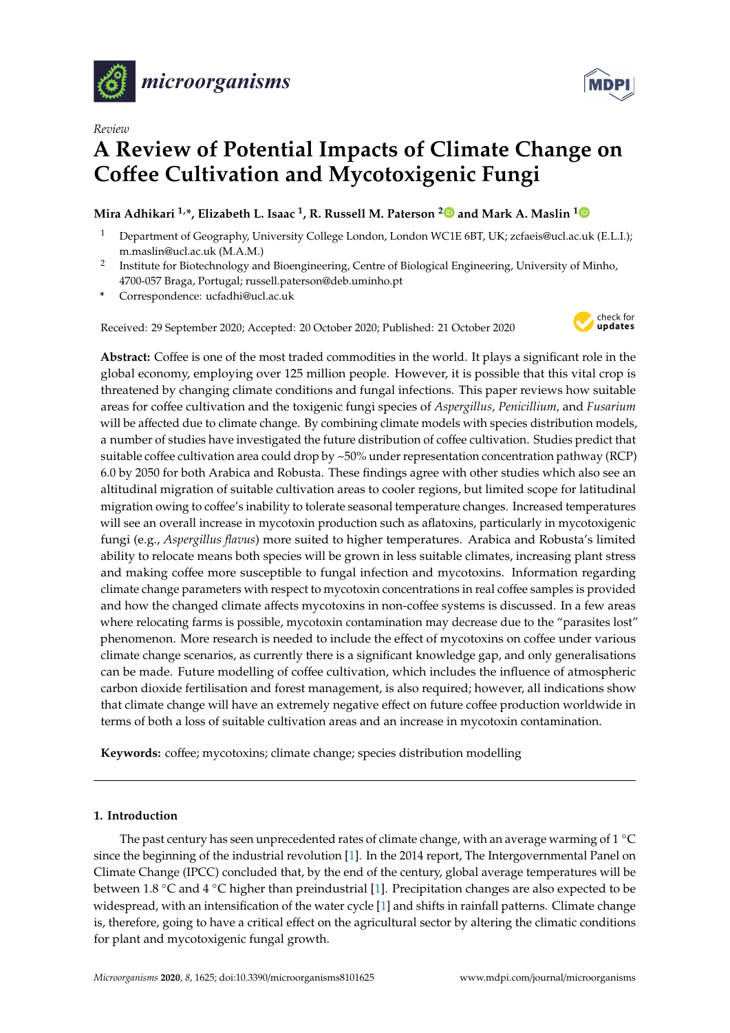

*Review*

# **A Review of Potential Impacts of Climate Change on Co**ff**ee Cultivation and Mycotoxigenic Fungi**

# **Mira Adhikari 1,\*, Elizabeth L. Isaac <sup>1</sup> , R. Russell M. Paterson [2](https://orcid.org/0000-0001-5749-6586) and Mark A. Maslin [1](https://orcid.org/0000-0001-9957-3463)**

- <sup>1</sup> Department of Geography, University College London, London WC1E 6BT, UK; zcfaeis@ucl.ac.uk (E.L.I.); m.maslin@ucl.ac.uk (M.A.M.)
- 2 Institute for Biotechnology and Bioengineering, Centre of Biological Engineering, University of Minho, 4700-057 Braga, Portugal; russell.paterson@deb.uminho.pt

**\*** Correspondence: ucfadhi@ucl.ac.uk

Received: 29 September 2020; Accepted: 20 October 2020; Published: 21 October 2020



**Abstract:** Coffee is one of the most traded commodities in the world. It plays a significant role in the global economy, employing over 125 million people. However, it is possible that this vital crop is threatened by changing climate conditions and fungal infections. This paper reviews how suitable areas for coffee cultivation and the toxigenic fungi species of *Aspergillus, Penicillium,* and *Fusarium* will be affected due to climate change. By combining climate models with species distribution models, a number of studies have investigated the future distribution of coffee cultivation. Studies predict that suitable coffee cultivation area could drop by ~50% under representation concentration pathway (RCP) 6.0 by 2050 for both Arabica and Robusta. These findings agree with other studies which also see an altitudinal migration of suitable cultivation areas to cooler regions, but limited scope for latitudinal migration owing to coffee's inability to tolerate seasonal temperature changes. Increased temperatures will see an overall increase in mycotoxin production such as aflatoxins, particularly in mycotoxigenic fungi (e.g., *Aspergillus flavus*) more suited to higher temperatures. Arabica and Robusta's limited ability to relocate means both species will be grown in less suitable climates, increasing plant stress and making coffee more susceptible to fungal infection and mycotoxins. Information regarding climate change parameters with respect to mycotoxin concentrations in real coffee samples is provided and how the changed climate affects mycotoxins in non-coffee systems is discussed. In a few areas where relocating farms is possible, mycotoxin contamination may decrease due to the "parasites lost" phenomenon. More research is needed to include the effect of mycotoxins on coffee under various climate change scenarios, as currently there is a significant knowledge gap, and only generalisations can be made. Future modelling of coffee cultivation, which includes the influence of atmospheric carbon dioxide fertilisation and forest management, is also required; however, all indications show that climate change will have an extremely negative effect on future coffee production worldwide in terms of both a loss of suitable cultivation areas and an increase in mycotoxin contamination.

**Keywords:** coffee; mycotoxins; climate change; species distribution modelling

# **1. Introduction**

The past century has seen unprecedented rates of climate change, with an average warming of  $1\,^{\circ}\mathrm{C}$ since the beginning of the industrial revolution [\[1\]](#page-8-0). In the 2014 report, The Intergovernmental Panel on Climate Change (IPCC) concluded that, by the end of the century, global average temperatures will be between 1.8 ◦C and 4 ◦C higher than preindustrial [\[1\]](#page-8-0). Precipitation changes are also expected to be widespread, with an intensification of the water cycle [\[1\]](#page-8-0) and shifts in rainfall patterns. Climate change is, therefore, going to have a critical effect on the agricultural sector by altering the climatic conditions for plant and mycotoxigenic fungal growth.

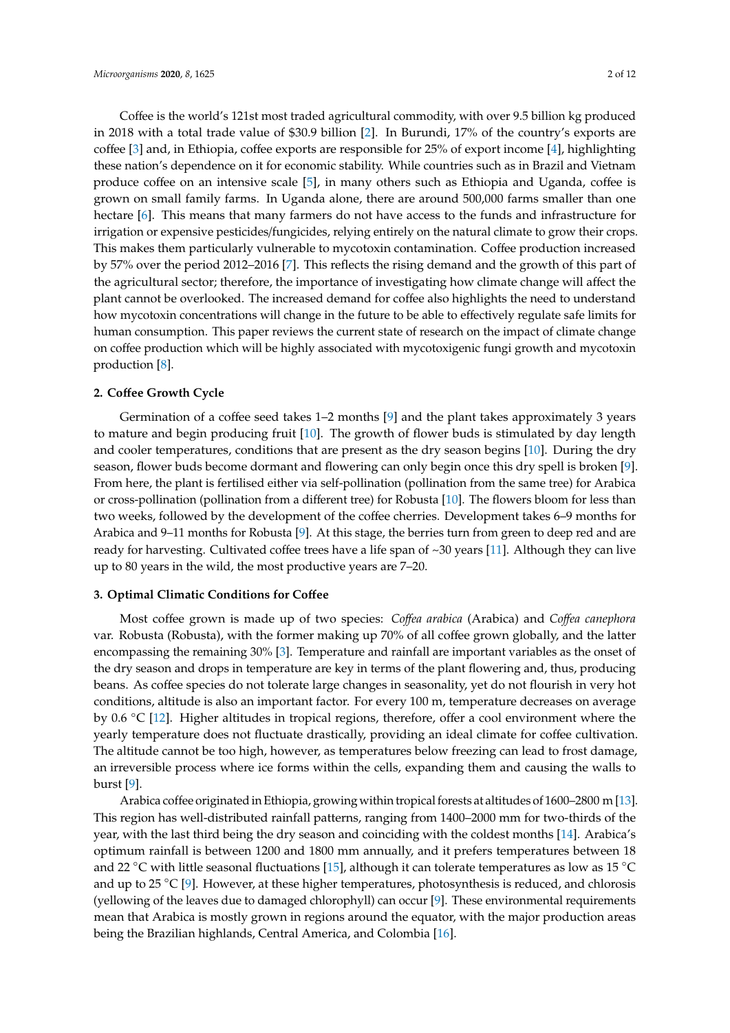Coffee is the world's 121st most traded agricultural commodity, with over 9.5 billion kg produced in 2018 with a total trade value of \$30.9 billion [\[2\]](#page-8-1). In Burundi, 17% of the country's exports are coffee [\[3\]](#page-8-2) and, in Ethiopia, coffee exports are responsible for 25% of export income [\[4\]](#page-8-3), highlighting these nation's dependence on it for economic stability. While countries such as in Brazil and Vietnam produce coffee on an intensive scale [\[5\]](#page-8-4), in many others such as Ethiopia and Uganda, coffee is grown on small family farms. In Uganda alone, there are around 500,000 farms smaller than one hectare [\[6\]](#page-8-5). This means that many farmers do not have access to the funds and infrastructure for irrigation or expensive pesticides/fungicides, relying entirely on the natural climate to grow their crops. This makes them particularly vulnerable to mycotoxin contamination. Coffee production increased by 57% over the period 2012–2016 [\[7\]](#page-8-6). This reflects the rising demand and the growth of this part of the agricultural sector; therefore, the importance of investigating how climate change will affect the plant cannot be overlooked. The increased demand for coffee also highlights the need to understand how mycotoxin concentrations will change in the future to be able to effectively regulate safe limits for human consumption. This paper reviews the current state of research on the impact of climate change on coffee production which will be highly associated with mycotoxigenic fungi growth and mycotoxin production [\[8\]](#page-8-7).

### **2. Co**ff**ee Growth Cycle**

Germination of a coffee seed takes 1–2 months [\[9\]](#page-8-8) and the plant takes approximately 3 years to mature and begin producing fruit [\[10\]](#page-8-9). The growth of flower buds is stimulated by day length and cooler temperatures, conditions that are present as the dry season begins [\[10\]](#page-8-9). During the dry season, flower buds become dormant and flowering can only begin once this dry spell is broken [\[9\]](#page-8-8). From here, the plant is fertilised either via self-pollination (pollination from the same tree) for Arabica or cross-pollination (pollination from a different tree) for Robusta [\[10\]](#page-8-9). The flowers bloom for less than two weeks, followed by the development of the coffee cherries. Development takes 6–9 months for Arabica and 9–11 months for Robusta [\[9\]](#page-8-8). At this stage, the berries turn from green to deep red and are ready for harvesting. Cultivated coffee trees have a life span of ~30 years [\[11\]](#page-8-10). Although they can live up to 80 years in the wild, the most productive years are 7–20.

#### **3. Optimal Climatic Conditions for Co**ff**ee**

Most coffee grown is made up of two species: *Co*ff*ea arabica* (Arabica) and *Co*ff*ea canephora* var. Robusta (Robusta), with the former making up 70% of all coffee grown globally, and the latter encompassing the remaining 30% [\[3\]](#page-8-2). Temperature and rainfall are important variables as the onset of the dry season and drops in temperature are key in terms of the plant flowering and, thus, producing beans. As coffee species do not tolerate large changes in seasonality, yet do not flourish in very hot conditions, altitude is also an important factor. For every 100 m, temperature decreases on average by 0.6 ◦C [\[12\]](#page-8-11). Higher altitudes in tropical regions, therefore, offer a cool environment where the yearly temperature does not fluctuate drastically, providing an ideal climate for coffee cultivation. The altitude cannot be too high, however, as temperatures below freezing can lead to frost damage, an irreversible process where ice forms within the cells, expanding them and causing the walls to burst [\[9\]](#page-8-8).

Arabica coffee originated in Ethiopia, growing within tropical forests at altitudes of 1600–2800 m [\[13\]](#page-8-12). This region has well-distributed rainfall patterns, ranging from 1400–2000 mm for two-thirds of the year, with the last third being the dry season and coinciding with the coldest months [\[14\]](#page-9-0). Arabica's optimum rainfall is between 1200 and 1800 mm annually, and it prefers temperatures between 18 and 22 °C with little seasonal fluctuations [\[15\]](#page-9-1), although it can tolerate temperatures as low as 15 °C and up to 25 ◦C [\[9\]](#page-8-8). However, at these higher temperatures, photosynthesis is reduced, and chlorosis (yellowing of the leaves due to damaged chlorophyll) can occur [\[9\]](#page-8-8). These environmental requirements mean that Arabica is mostly grown in regions around the equator, with the major production areas being the Brazilian highlands, Central America, and Colombia [\[16\]](#page-9-2).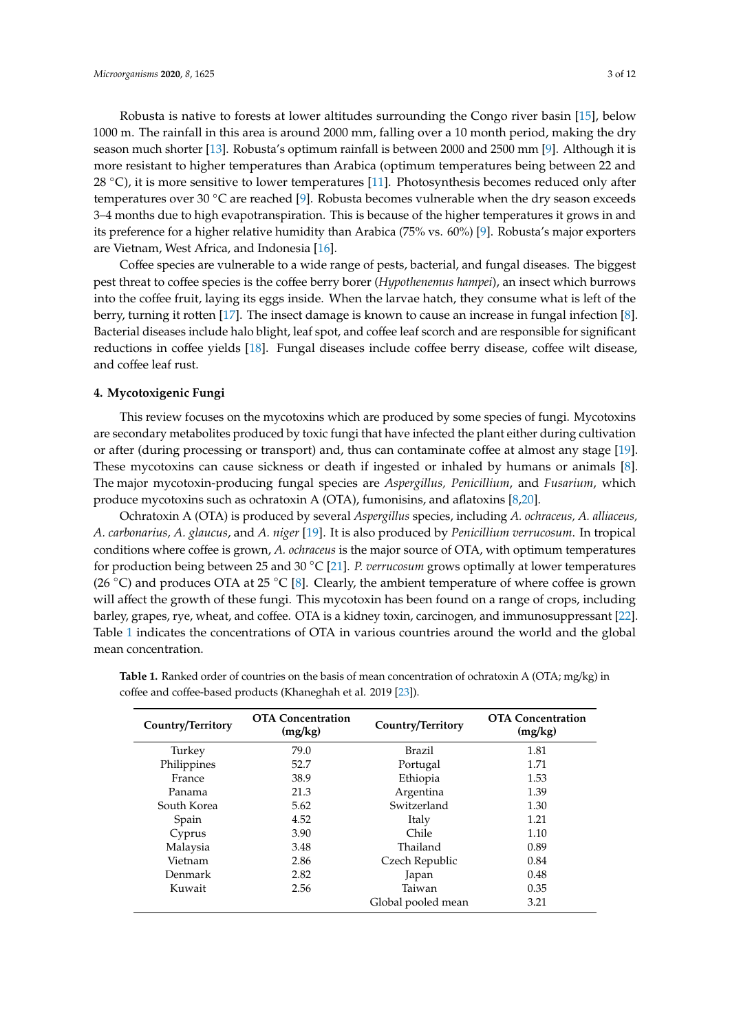Robusta is native to forests at lower altitudes surrounding the Congo river basin [\[15\]](#page-9-1), below 1000 m. The rainfall in this area is around 2000 mm, falling over a 10 month period, making the dry season much shorter [\[13\]](#page-8-12). Robusta's optimum rainfall is between 2000 and 2500 mm [\[9\]](#page-8-8). Although it is more resistant to higher temperatures than Arabica (optimum temperatures being between 22 and 28  $°C$ ), it is more sensitive to lower temperatures [\[11\]](#page-8-10). Photosynthesis becomes reduced only after temperatures over 30 ◦C are reached [\[9\]](#page-8-8). Robusta becomes vulnerable when the dry season exceeds 3–4 months due to high evapotranspiration. This is because of the higher temperatures it grows in and its preference for a higher relative humidity than Arabica (75% vs. 60%) [\[9\]](#page-8-8). Robusta's major exporters

Coffee species are vulnerable to a wide range of pests, bacterial, and fungal diseases. The biggest pest threat to coffee species is the coffee berry borer (*Hypothenemus hampei*), an insect which burrows into the coffee fruit, laying its eggs inside. When the larvae hatch, they consume what is left of the berry, turning it rotten [\[17\]](#page-9-3). The insect damage is known to cause an increase in fungal infection [\[8\]](#page-8-7). Bacterial diseases include halo blight, leaf spot, and coffee leaf scorch and are responsible for significant reductions in coffee yields [\[18\]](#page-9-4). Fungal diseases include coffee berry disease, coffee wilt disease, and coffee leaf rust.

#### **4. Mycotoxigenic Fungi**

are Vietnam, West Africa, and Indonesia [\[16\]](#page-9-2).

This review focuses on the mycotoxins which are produced by some species of fungi. Mycotoxins are secondary metabolites produced by toxic fungi that have infected the plant either during cultivation or after (during processing or transport) and, thus can contaminate coffee at almost any stage [\[19\]](#page-9-5). These mycotoxins can cause sickness or death if ingested or inhaled by humans or animals [\[8\]](#page-8-7). The major mycotoxin-producing fungal species are *Aspergillus, Penicillium*, and *Fusarium*, which produce mycotoxins such as ochratoxin A (OTA), fumonisins, and aflatoxins [\[8](#page-8-7)[,20\]](#page-9-6).

Ochratoxin A (OTA) is produced by several *Aspergillus* species, including *A. ochraceus, A. alliaceus, A. carbonarius, A. glaucus*, and *A. niger* [\[19\]](#page-9-5). It is also produced by *Penicillium verrucosum*. In tropical conditions where coffee is grown, *A. ochraceus* is the major source of OTA, with optimum temperatures for production being between 25 and 30 ◦C [\[21\]](#page-9-7). *P. verrucosum* grows optimally at lower temperatures (26 °C) and produces OTA at 25 °C [\[8\]](#page-8-7). Clearly, the ambient temperature of where coffee is grown will affect the growth of these fungi. This mycotoxin has been found on a range of crops, including barley, grapes, rye, wheat, and coffee. OTA is a kidney toxin, carcinogen, and immunosuppressant [\[22\]](#page-9-8). Table [1](#page-2-0) indicates the concentrations of OTA in various countries around the world and the global mean concentration.

| Country/Territory | <b>OTA Concentration</b><br>(mg/kg) | Country/Territory  | <b>OTA Concentration</b><br>(mg/kg) |
|-------------------|-------------------------------------|--------------------|-------------------------------------|
| Turkey            | 79.0                                | <b>Brazil</b>      | 1.81                                |
| Philippines       | 52.7                                | Portugal           | 1.71                                |
| France            | 38.9                                | Ethiopia           | 1.53                                |
| Panama            | 21.3                                | Argentina          | 1.39                                |
| South Korea       | 5.62                                | Switzerland        | 1.30                                |
| Spain             | 4.52                                | Italy              | 1.21                                |
| Cyprus            | 3.90                                | Chile              | 1.10                                |
| Malaysia          | 3.48                                | Thailand           | 0.89                                |
| Vietnam           | 2.86                                | Czech Republic     | 0.84                                |
| Denmark           | 2.82                                | Japan              | 0.48                                |
| Kuwait            | 2.56                                | Taiwan             | 0.35                                |
|                   |                                     | Global pooled mean | 3.21                                |

<span id="page-2-0"></span>**Table 1.** Ranked order of countries on the basis of mean concentration of ochratoxin A (OTA; mg/kg) in coffee and coffee-based products (Khaneghah et al. 2019 [\[23\]](#page-9-9)).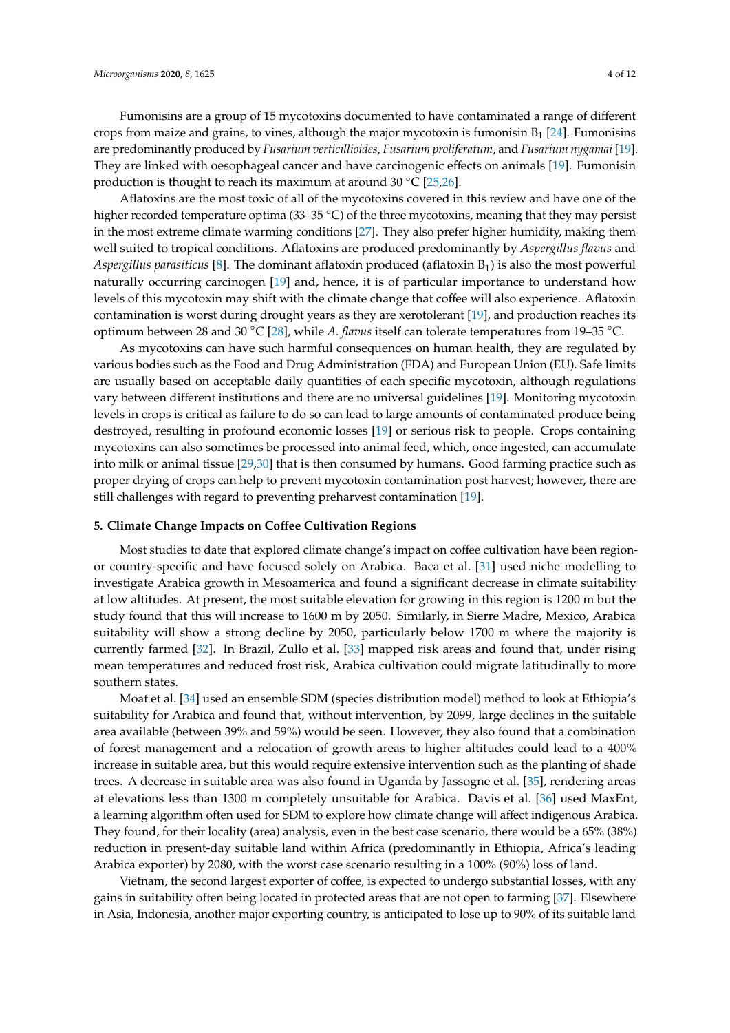Fumonisins are a group of 15 mycotoxins documented to have contaminated a range of different crops from maize and grains, to vines, although the major mycotoxin is fumonisin  $B_1$  [\[24\]](#page-9-10). Fumonisins are predominantly produced by *Fusarium verticillioides*, *Fusarium proliferatum*, and *Fusarium nygamai* [\[19\]](#page-9-5). They are linked with oesophageal cancer and have carcinogenic effects on animals [\[19\]](#page-9-5). Fumonisin production is thought to reach its maximum at around 30  $°C$  [\[25,](#page-9-11)[26\]](#page-9-12).

Aflatoxins are the most toxic of all of the mycotoxins covered in this review and have one of the higher recorded temperature optima (33–35 °C) of the three mycotoxins, meaning that they may persist in the most extreme climate warming conditions [\[27\]](#page-9-13). They also prefer higher humidity, making them well suited to tropical conditions. Aflatoxins are produced predominantly by *Aspergillus flavus* and *Aspergillus parasiticus* [\[8\]](#page-8-7). The dominant aflatoxin produced (aflatoxin B1) is also the most powerful naturally occurring carcinogen [\[19\]](#page-9-5) and, hence, it is of particular importance to understand how levels of this mycotoxin may shift with the climate change that coffee will also experience. Aflatoxin contamination is worst during drought years as they are xerotolerant [\[19\]](#page-9-5), and production reaches its optimum between 28 and 30 ◦C [\[28\]](#page-9-14), while *A. flavus* itself can tolerate temperatures from 19–35 ◦C.

As mycotoxins can have such harmful consequences on human health, they are regulated by various bodies such as the Food and Drug Administration (FDA) and European Union (EU). Safe limits are usually based on acceptable daily quantities of each specific mycotoxin, although regulations vary between different institutions and there are no universal guidelines [\[19\]](#page-9-5). Monitoring mycotoxin levels in crops is critical as failure to do so can lead to large amounts of contaminated produce being destroyed, resulting in profound economic losses [\[19\]](#page-9-5) or serious risk to people. Crops containing mycotoxins can also sometimes be processed into animal feed, which, once ingested, can accumulate into milk or animal tissue [\[29](#page-9-15)[,30\]](#page-9-16) that is then consumed by humans. Good farming practice such as proper drying of crops can help to prevent mycotoxin contamination post harvest; however, there are still challenges with regard to preventing preharvest contamination [\[19\]](#page-9-5).

#### **5. Climate Change Impacts on Co**ff**ee Cultivation Regions**

Most studies to date that explored climate change's impact on coffee cultivation have been regionor country-specific and have focused solely on Arabica. Baca et al. [\[31\]](#page-9-17) used niche modelling to investigate Arabica growth in Mesoamerica and found a significant decrease in climate suitability at low altitudes. At present, the most suitable elevation for growing in this region is 1200 m but the study found that this will increase to 1600 m by 2050. Similarly, in Sierre Madre, Mexico, Arabica suitability will show a strong decline by 2050, particularly below 1700 m where the majority is currently farmed [\[32\]](#page-9-18). In Brazil, Zullo et al. [\[33\]](#page-9-19) mapped risk areas and found that, under rising mean temperatures and reduced frost risk, Arabica cultivation could migrate latitudinally to more southern states.

Moat et al. [\[34\]](#page-9-20) used an ensemble SDM (species distribution model) method to look at Ethiopia's suitability for Arabica and found that, without intervention, by 2099, large declines in the suitable area available (between 39% and 59%) would be seen. However, they also found that a combination of forest management and a relocation of growth areas to higher altitudes could lead to a 400% increase in suitable area, but this would require extensive intervention such as the planting of shade trees. A decrease in suitable area was also found in Uganda by Jassogne et al. [\[35\]](#page-10-0), rendering areas at elevations less than 1300 m completely unsuitable for Arabica. Davis et al. [\[36\]](#page-10-1) used MaxEnt, a learning algorithm often used for SDM to explore how climate change will affect indigenous Arabica. They found, for their locality (area) analysis, even in the best case scenario, there would be a 65% (38%) reduction in present-day suitable land within Africa (predominantly in Ethiopia, Africa's leading Arabica exporter) by 2080, with the worst case scenario resulting in a 100% (90%) loss of land.

Vietnam, the second largest exporter of coffee, is expected to undergo substantial losses, with any gains in suitability often being located in protected areas that are not open to farming [\[37\]](#page-10-2). Elsewhere in Asia, Indonesia, another major exporting country, is anticipated to lose up to 90% of its suitable land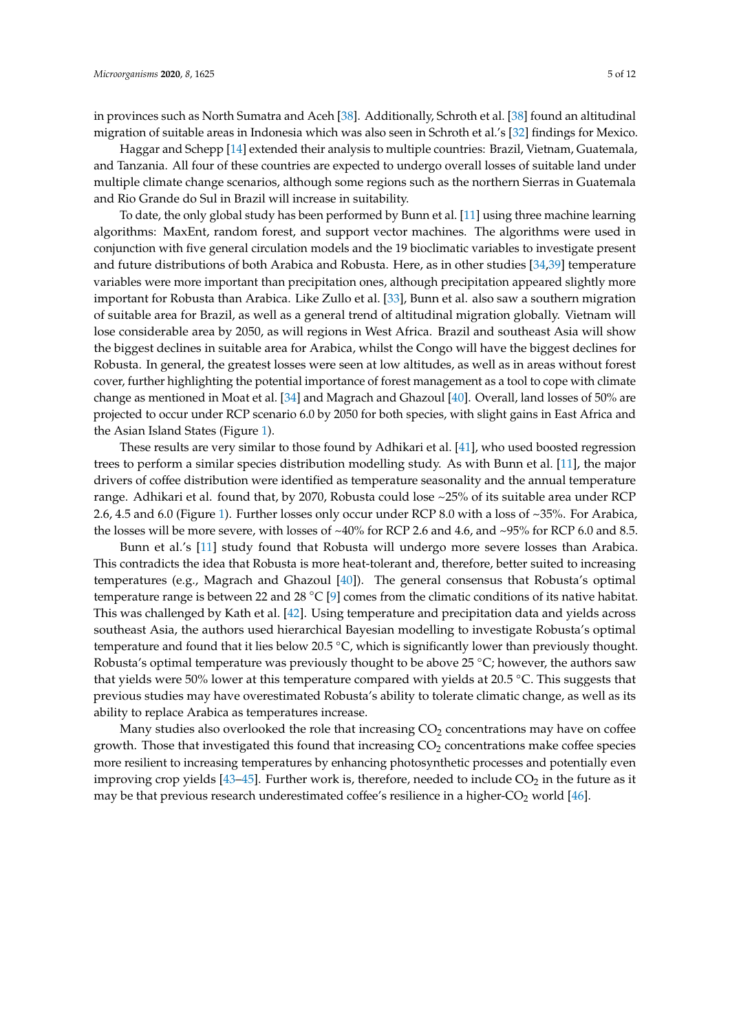in provinces such as North Sumatra and Aceh [\[38\]](#page-10-3). Additionally, Schroth et al. [\[38\]](#page-10-3) found an altitudinal migration of suitable areas in Indonesia which was also seen in Schroth et al.'s [\[32\]](#page-9-18) findings for Mexico.

Haggar and Schepp [\[14\]](#page-9-0) extended their analysis to multiple countries: Brazil, Vietnam, Guatemala, and Tanzania. All four of these countries are expected to undergo overall losses of suitable land under multiple climate change scenarios, although some regions such as the northern Sierras in Guatemala and Rio Grande do Sul in Brazil will increase in suitability.

To date, the only global study has been performed by Bunn et al. [\[11\]](#page-8-10) using three machine learning algorithms: MaxEnt, random forest, and support vector machines. The algorithms were used in conjunction with five general circulation models and the 19 bioclimatic variables to investigate present and future distributions of both Arabica and Robusta. Here, as in other studies [\[34,](#page-9-20)[39\]](#page-10-4) temperature variables were more important than precipitation ones, although precipitation appeared slightly more important for Robusta than Arabica. Like Zullo et al. [\[33\]](#page-9-19), Bunn et al. also saw a southern migration of suitable area for Brazil, as well as a general trend of altitudinal migration globally. Vietnam will lose considerable area by 2050, as will regions in West Africa. Brazil and southeast Asia will show the biggest declines in suitable area for Arabica, whilst the Congo will have the biggest declines for Robusta. In general, the greatest losses were seen at low altitudes, as well as in areas without forest cover, further highlighting the potential importance of forest management as a tool to cope with climate change as mentioned in Moat et al. [\[34\]](#page-9-20) and Magrach and Ghazoul [\[40\]](#page-10-5). Overall, land losses of 50% are projected to occur under RCP scenario 6.0 by 2050 for both species, with slight gains in East Africa and the Asian Island States (Figure [1\)](#page-5-0).

These results are very similar to those found by Adhikari et al. [\[41\]](#page-10-6), who used boosted regression trees to perform a similar species distribution modelling study. As with Bunn et al. [\[11\]](#page-8-10), the major drivers of coffee distribution were identified as temperature seasonality and the annual temperature range. Adhikari et al. found that, by 2070, Robusta could lose ~25% of its suitable area under RCP 2.6, 4.5 and 6.0 (Figure [1\)](#page-5-0). Further losses only occur under RCP 8.0 with a loss of ~35%. For Arabica, the losses will be more severe, with losses of ~40% for RCP 2.6 and 4.6, and ~95% for RCP 6.0 and 8.5.

Bunn et al.'s [\[11\]](#page-8-10) study found that Robusta will undergo more severe losses than Arabica. This contradicts the idea that Robusta is more heat-tolerant and, therefore, better suited to increasing temperatures (e.g., Magrach and Ghazoul [\[40\]](#page-10-5)). The general consensus that Robusta's optimal temperature range is between 22 and 28 °C [\[9\]](#page-8-8) comes from the climatic conditions of its native habitat. This was challenged by Kath et al. [\[42\]](#page-10-7). Using temperature and precipitation data and yields across southeast Asia, the authors used hierarchical Bayesian modelling to investigate Robusta's optimal temperature and found that it lies below 20.5 ◦C, which is significantly lower than previously thought. Robusta's optimal temperature was previously thought to be above 25 °C; however, the authors saw that yields were 50% lower at this temperature compared with yields at 20.5 °C. This suggests that previous studies may have overestimated Robusta's ability to tolerate climatic change, as well as its ability to replace Arabica as temperatures increase.

Many studies also overlooked the role that increasing  $CO<sub>2</sub>$  concentrations may have on coffee growth. Those that investigated this found that increasing  $CO<sub>2</sub>$  concentrations make coffee species more resilient to increasing temperatures by enhancing photosynthetic processes and potentially even improving crop yields [\[43](#page-10-8)[–45\]](#page-10-9). Further work is, therefore, needed to include  $CO<sub>2</sub>$  in the future as it may be that previous research underestimated coffee's resilience in a higher-CO<sub>2</sub> world [\[46\]](#page-10-10).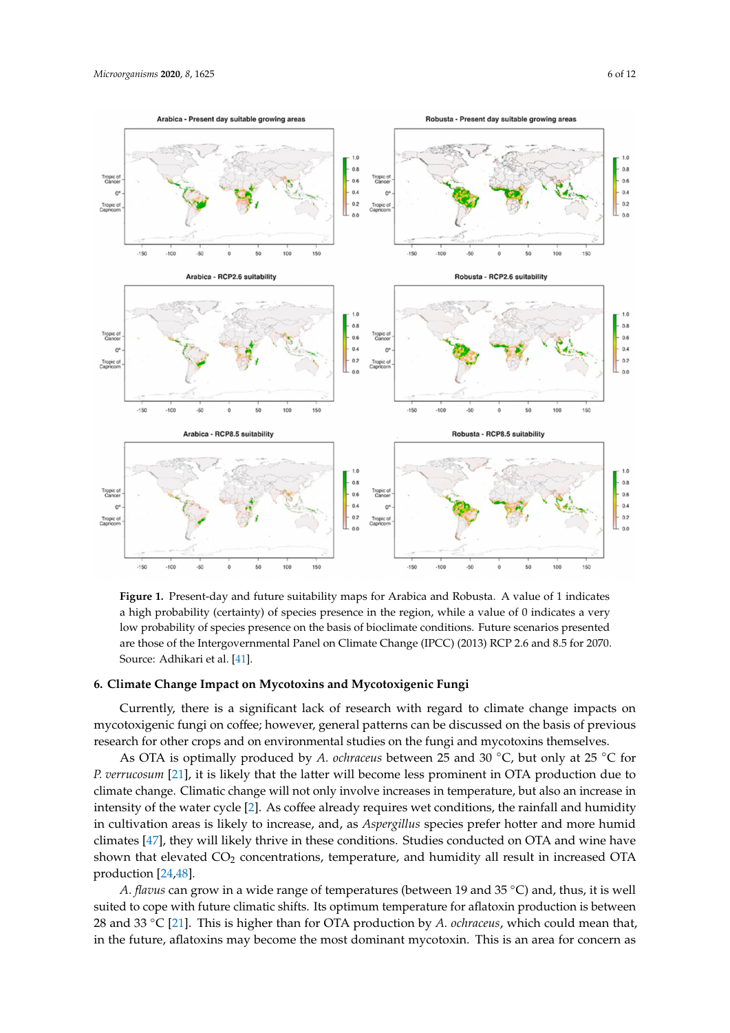<span id="page-5-0"></span>

**Figure 1.** Present-day and future suitability maps for Arabica and Robusta. A value of 1 indicates a high probability (certainty) of species presence in the region, while a value of 0 indicates a very low probability of species presence on the basis of bioclimate conditions. Future scenarios presented are those of the Intergovernmental Panel on Climate Change (IPCC) (2013) RCP 2.6 and 8.5 for 2070. Source: Adhikari et al. [\[41\]](#page-10-6).

#### **6. Climate Change Impact on Mycotoxins and Mycotoxigenic Fungi**

Currently, there is a significant lack of research with regard to climate change impacts on mycotoxigenic fungi on coffee; however, general patterns can be discussed on the basis of previous research for other crops and on environmental studies on the fungi and mycotoxins themselves.

As OTA is optimally produced by *A. ochraceus* between 25 and 30 ◦C, but only at 25 ◦C for *P. verrucosum* [\[21\]](#page-9-7), it is likely that the latter will become less prominent in OTA production due to climate change. Climatic change will not only involve increases in temperature, but also an increase in intensity of the water cycle [\[2\]](#page-8-1). As coffee already requires wet conditions, the rainfall and humidity in cultivation areas is likely to increase, and, as *Aspergillus* species prefer hotter and more humid climates [\[47\]](#page-10-11), they will likely thrive in these conditions. Studies conducted on OTA and wine have shown that elevated CO<sub>2</sub> concentrations, temperature, and humidity all result in increased OTA production [\[24,](#page-9-10)[48\]](#page-10-12).

*A. flavus* can grow in a wide range of temperatures (between 19 and 35 ◦C) and, thus, it is well suited to cope with future climatic shifts. Its optimum temperature for aflatoxin production is between 28 and 33 ◦C [\[21\]](#page-9-7). This is higher than for OTA production by *A. ochraceus*, which could mean that, in the future, aflatoxins may become the most dominant mycotoxin. This is an area for concern as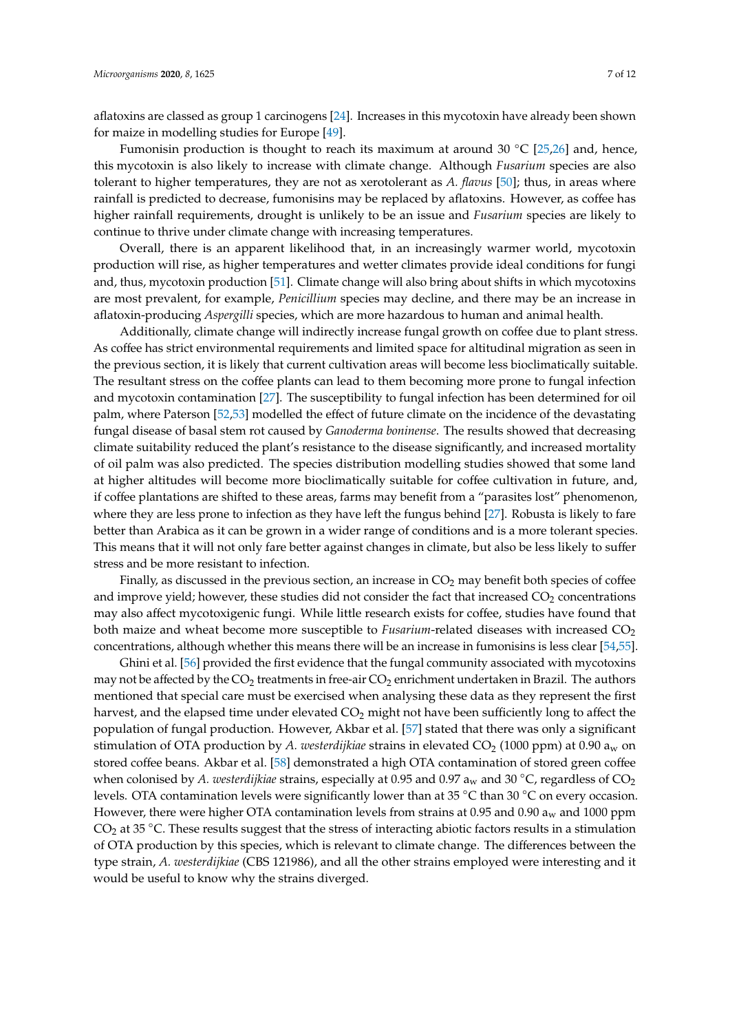aflatoxins are classed as group 1 carcinogens [\[24\]](#page-9-10). Increases in this mycotoxin have already been shown for maize in modelling studies for Europe [\[49\]](#page-10-13).

Fumonisin production is thought to reach its maximum at around 30  $°C$  [\[25](#page-9-11)[,26\]](#page-9-12) and, hence, this mycotoxin is also likely to increase with climate change. Although *Fusarium* species are also tolerant to higher temperatures, they are not as xerotolerant as *A. flavus* [\[50\]](#page-10-14); thus, in areas where rainfall is predicted to decrease, fumonisins may be replaced by aflatoxins. However, as coffee has higher rainfall requirements, drought is unlikely to be an issue and *Fusarium* species are likely to continue to thrive under climate change with increasing temperatures.

Overall, there is an apparent likelihood that, in an increasingly warmer world, mycotoxin production will rise, as higher temperatures and wetter climates provide ideal conditions for fungi and, thus, mycotoxin production [\[51\]](#page-10-15). Climate change will also bring about shifts in which mycotoxins are most prevalent, for example, *Penicillium* species may decline, and there may be an increase in aflatoxin-producing *Aspergilli* species, which are more hazardous to human and animal health.

Additionally, climate change will indirectly increase fungal growth on coffee due to plant stress. As coffee has strict environmental requirements and limited space for altitudinal migration as seen in the previous section, it is likely that current cultivation areas will become less bioclimatically suitable. The resultant stress on the coffee plants can lead to them becoming more prone to fungal infection and mycotoxin contamination [\[27\]](#page-9-13). The susceptibility to fungal infection has been determined for oil palm, where Paterson [\[52](#page-10-16)[,53\]](#page-10-17) modelled the effect of future climate on the incidence of the devastating fungal disease of basal stem rot caused by *Ganoderma boninense*. The results showed that decreasing climate suitability reduced the plant's resistance to the disease significantly, and increased mortality of oil palm was also predicted. The species distribution modelling studies showed that some land at higher altitudes will become more bioclimatically suitable for coffee cultivation in future, and, if coffee plantations are shifted to these areas, farms may benefit from a "parasites lost" phenomenon, where they are less prone to infection as they have left the fungus behind [\[27\]](#page-9-13). Robusta is likely to fare better than Arabica as it can be grown in a wider range of conditions and is a more tolerant species. This means that it will not only fare better against changes in climate, but also be less likely to suffer stress and be more resistant to infection.

Finally, as discussed in the previous section, an increase in  $CO<sub>2</sub>$  may benefit both species of coffee and improve yield; however, these studies did not consider the fact that increased  $CO<sub>2</sub>$  concentrations may also affect mycotoxigenic fungi. While little research exists for coffee, studies have found that both maize and wheat become more susceptible to *Fusarium*-related diseases with increased CO<sub>2</sub> concentrations, although whether this means there will be an increase in fumonisins is less clear [\[54](#page-10-18)[,55\]](#page-10-19).

Ghini et al. [\[56\]](#page-11-0) provided the first evidence that the fungal community associated with mycotoxins may not be affected by the  $CO<sub>2</sub>$  treatments in free-air  $CO<sub>2</sub>$  enrichment undertaken in Brazil. The authors mentioned that special care must be exercised when analysing these data as they represent the first harvest, and the elapsed time under elevated  $CO<sub>2</sub>$  might not have been sufficiently long to affect the population of fungal production. However, Akbar et al. [\[57\]](#page-11-1) stated that there was only a significant stimulation of OTA production by *A. westerdijkiae* strains in elevated CO<sub>2</sub> (1000 ppm) at 0.90 a<sub>w</sub> on stored coffee beans. Akbar et al. [\[58\]](#page-11-2) demonstrated a high OTA contamination of stored green coffee when colonised by *A. westerdijkiae* strains, especially at 0.95 and 0.97 a<sub>w</sub> and 30 °C, regardless of CO<sub>2</sub> levels. OTA contamination levels were significantly lower than at 35 ◦C than 30 ◦C on every occasion. However, there were higher OTA contamination levels from strains at 0.95 and 0.90  $a_w$  and 1000 ppm  $CO<sub>2</sub>$  at 35 °C. These results suggest that the stress of interacting abiotic factors results in a stimulation of OTA production by this species, which is relevant to climate change. The differences between the type strain, *A. westerdijkiae* (CBS 121986), and all the other strains employed were interesting and it would be useful to know why the strains diverged.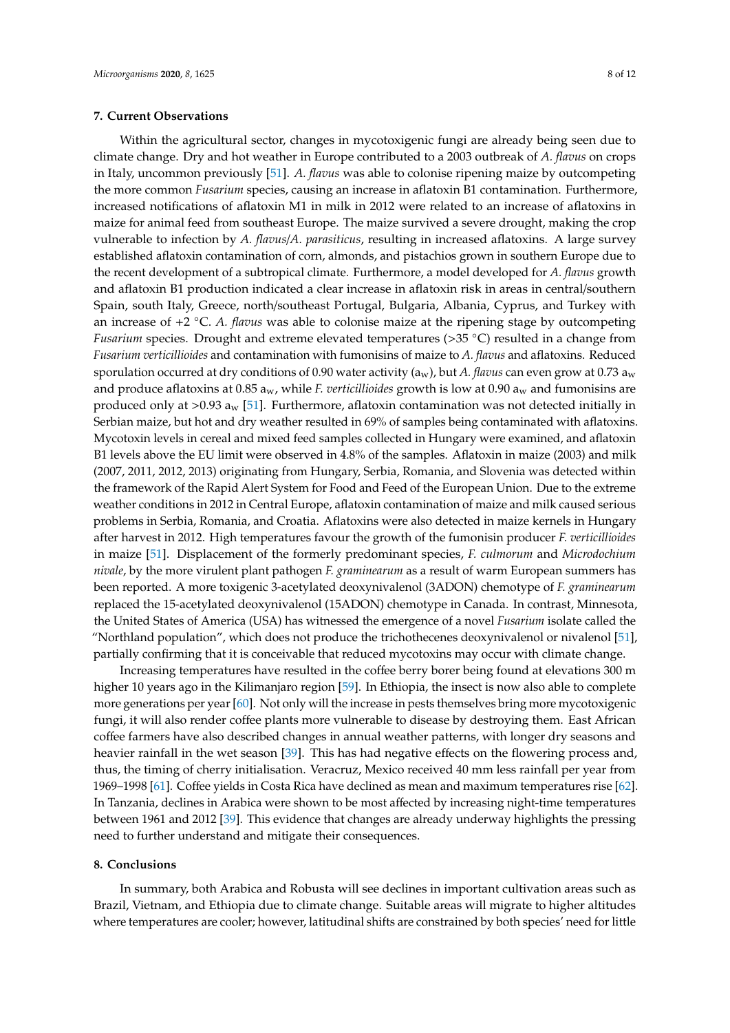#### **7. Current Observations**

Within the agricultural sector, changes in mycotoxigenic fungi are already being seen due to climate change. Dry and hot weather in Europe contributed to a 2003 outbreak of *A. flavus* on crops in Italy, uncommon previously [\[51\]](#page-10-15). *A. flavus* was able to colonise ripening maize by outcompeting the more common *Fusarium* species, causing an increase in aflatoxin B1 contamination. Furthermore, increased notifications of aflatoxin M1 in milk in 2012 were related to an increase of aflatoxins in maize for animal feed from southeast Europe. The maize survived a severe drought, making the crop vulnerable to infection by *A. flavus*/*A. parasiticus*, resulting in increased aflatoxins. A large survey established aflatoxin contamination of corn, almonds, and pistachios grown in southern Europe due to the recent development of a subtropical climate. Furthermore, a model developed for *A. flavus* growth and aflatoxin B1 production indicated a clear increase in aflatoxin risk in areas in central/southern Spain, south Italy, Greece, north/southeast Portugal, Bulgaria, Albania, Cyprus, and Turkey with an increase of +2 °C. A. flavus was able to colonise maize at the ripening stage by outcompeting *Fusarium* species. Drought and extreme elevated temperatures (>35 °C) resulted in a change from *Fusarium verticillioides* and contamination with fumonisins of maize to *A. flavus* and aflatoxins. Reduced sporulation occurred at dry conditions of 0.90 water activity (aw), but *A. flavus* can even grow at 0.73 a<sup>w</sup> and produce aflatoxins at 0.85 aw, while *F. verticillioides* growth is low at 0.90 a<sup>w</sup> and fumonisins are produced only at  $>0.93$  a<sub>w</sub> [\[51\]](#page-10-15). Furthermore, aflatoxin contamination was not detected initially in Serbian maize, but hot and dry weather resulted in 69% of samples being contaminated with aflatoxins. Mycotoxin levels in cereal and mixed feed samples collected in Hungary were examined, and aflatoxin B1 levels above the EU limit were observed in 4.8% of the samples. Aflatoxin in maize (2003) and milk (2007, 2011, 2012, 2013) originating from Hungary, Serbia, Romania, and Slovenia was detected within the framework of the Rapid Alert System for Food and Feed of the European Union. Due to the extreme weather conditions in 2012 in Central Europe, aflatoxin contamination of maize and milk caused serious problems in Serbia, Romania, and Croatia. Aflatoxins were also detected in maize kernels in Hungary after harvest in 2012. High temperatures favour the growth of the fumonisin producer *F. verticillioides* in maize [\[51\]](#page-10-15). Displacement of the formerly predominant species, *F. culmorum* and *Microdochium nivale*, by the more virulent plant pathogen *F. graminearum* as a result of warm European summers has been reported. A more toxigenic 3-acetylated deoxynivalenol (3ADON) chemotype of *F. graminearum* replaced the 15-acetylated deoxynivalenol (15ADON) chemotype in Canada. In contrast, Minnesota, the United States of America (USA) has witnessed the emergence of a novel *Fusarium* isolate called the "Northland population", which does not produce the trichothecenes deoxynivalenol or nivalenol [\[51\]](#page-10-15), partially confirming that it is conceivable that reduced mycotoxins may occur with climate change.

Increasing temperatures have resulted in the coffee berry borer being found at elevations 300 m higher 10 years ago in the Kilimanjaro region [\[59\]](#page-11-3). In Ethiopia, the insect is now also able to complete more generations per year [\[60\]](#page-11-4). Not only will the increase in pests themselves bring more mycotoxigenic fungi, it will also render coffee plants more vulnerable to disease by destroying them. East African coffee farmers have also described changes in annual weather patterns, with longer dry seasons and heavier rainfall in the wet season [\[39\]](#page-10-4). This has had negative effects on the flowering process and, thus, the timing of cherry initialisation. Veracruz, Mexico received 40 mm less rainfall per year from 1969–1998 [\[61\]](#page-11-5). Coffee yields in Costa Rica have declined as mean and maximum temperatures rise [\[62\]](#page-11-6). In Tanzania, declines in Arabica were shown to be most affected by increasing night-time temperatures between 1961 and 2012 [\[39\]](#page-10-4). This evidence that changes are already underway highlights the pressing need to further understand and mitigate their consequences.

#### **8. Conclusions**

In summary, both Arabica and Robusta will see declines in important cultivation areas such as Brazil, Vietnam, and Ethiopia due to climate change. Suitable areas will migrate to higher altitudes where temperatures are cooler; however, latitudinal shifts are constrained by both species' need for little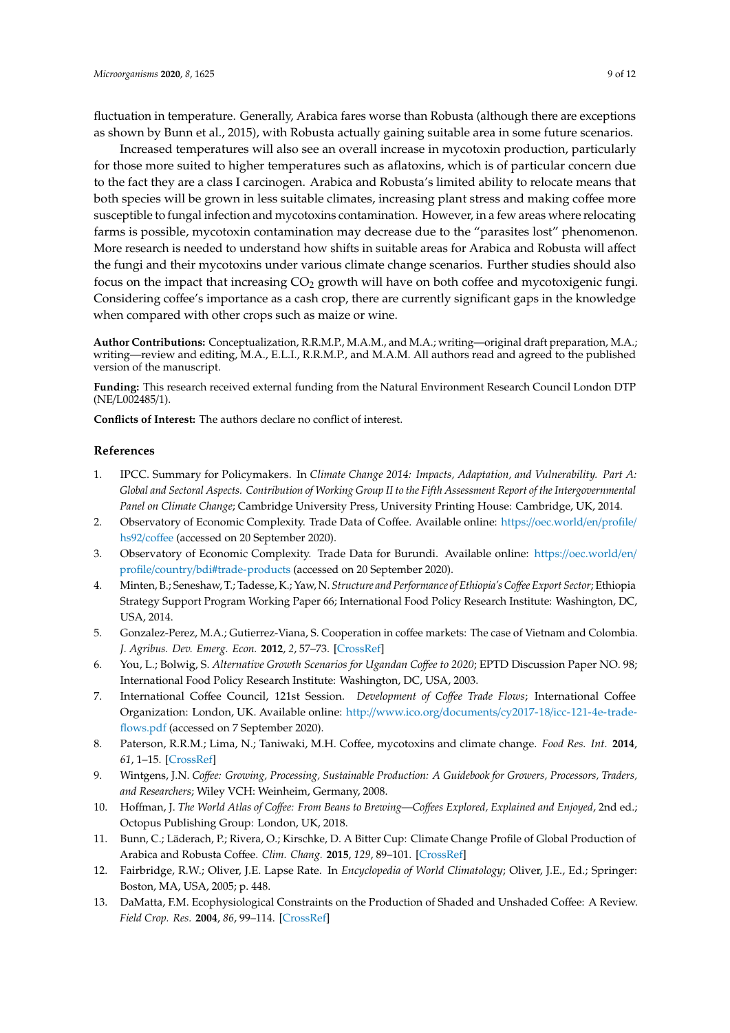fluctuation in temperature. Generally, Arabica fares worse than Robusta (although there are exceptions as shown by Bunn et al., 2015), with Robusta actually gaining suitable area in some future scenarios.

Increased temperatures will also see an overall increase in mycotoxin production, particularly for those more suited to higher temperatures such as aflatoxins, which is of particular concern due to the fact they are a class I carcinogen. Arabica and Robusta's limited ability to relocate means that both species will be grown in less suitable climates, increasing plant stress and making coffee more susceptible to fungal infection and mycotoxins contamination. However, in a few areas where relocating farms is possible, mycotoxin contamination may decrease due to the "parasites lost" phenomenon. More research is needed to understand how shifts in suitable areas for Arabica and Robusta will affect the fungi and their mycotoxins under various climate change scenarios. Further studies should also focus on the impact that increasing  $CO<sub>2</sub>$  growth will have on both coffee and mycotoxigenic fungi. Considering coffee's importance as a cash crop, there are currently significant gaps in the knowledge when compared with other crops such as maize or wine.

**Author Contributions:** Conceptualization, R.R.M.P., M.A.M., and M.A.; writing—original draft preparation, M.A.; writing—review and editing, M.A., E.L.I., R.R.M.P., and M.A.M. All authors read and agreed to the published version of the manuscript.

**Funding:** This research received external funding from the Natural Environment Research Council London DTP (NE/L002485/1).

**Conflicts of Interest:** The authors declare no conflict of interest.

## **References**

- <span id="page-8-0"></span>1. IPCC. Summary for Policymakers. In *Climate Change 2014: Impacts, Adaptation, and Vulnerability. Part A: Global and Sectoral Aspects. Contribution of Working Group II to the Fifth Assessment Report of the Intergovernmental Panel on Climate Change*; Cambridge University Press, University Printing House: Cambridge, UK, 2014.
- <span id="page-8-1"></span>2. Observatory of Economic Complexity. Trade Data of Coffee. Available online: https://[oec.world](https://oec.world/en/profile/hs92/coffee)/en/profile/ [hs92](https://oec.world/en/profile/hs92/coffee)/coffee (accessed on 20 September 2020).
- <span id="page-8-2"></span>3. Observatory of Economic Complexity. Trade Data for Burundi. Available online: https://[oec.world](https://oec.world/en/profile/country/bdi#trade-products)/en/ profile/country/[bdi#trade-products](https://oec.world/en/profile/country/bdi#trade-products) (accessed on 20 September 2020).
- <span id="page-8-3"></span>4. Minten, B.; Seneshaw, T.; Tadesse, K.; Yaw, N. *Structure and Performance of Ethiopia's Co*ff*ee Export Sector*; Ethiopia Strategy Support Program Working Paper 66; International Food Policy Research Institute: Washington, DC, USA, 2014.
- <span id="page-8-4"></span>5. Gonzalez-Perez, M.A.; Gutierrez-Viana, S. Cooperation in coffee markets: The case of Vietnam and Colombia. *J. Agribus. Dev. Emerg. Econ.* **2012**, *2*, 57–73. [\[CrossRef\]](http://dx.doi.org/10.1108/20440831211219237)
- <span id="page-8-5"></span>6. You, L.; Bolwig, S. *Alternative Growth Scenarios for Ugandan Co*ff*ee to 2020*; EPTD Discussion Paper NO. 98; International Food Policy Research Institute: Washington, DC, USA, 2003.
- <span id="page-8-6"></span>7. International Coffee Council, 121st Session. *Development of Co*ff*ee Trade Flows*; International Coffee Organization: London, UK. Available online: http://www.ico.org/documents/cy2017-18/[icc-121-4e-trade](http://www.ico.org/documents/cy2017-18/icc-121-4e-trade-flows.pdf)[flows.pdf](http://www.ico.org/documents/cy2017-18/icc-121-4e-trade-flows.pdf) (accessed on 7 September 2020).
- <span id="page-8-7"></span>8. Paterson, R.R.M.; Lima, N.; Taniwaki, M.H. Coffee, mycotoxins and climate change. *Food Res. Int.* **2014**, *61*, 1–15. [\[CrossRef\]](http://dx.doi.org/10.1016/j.foodres.2014.03.037)
- <span id="page-8-8"></span>9. Wintgens, J.N. *Co*ff*ee: Growing, Processing, Sustainable Production: A Guidebook for Growers, Processors, Traders, and Researchers*; Wiley VCH: Weinheim, Germany, 2008.
- <span id="page-8-9"></span>10. Hoffman, J. *The World Atlas of Co*ff*ee: From Beans to Brewing—Co*ff*ees Explored, Explained and Enjoyed*, 2nd ed.; Octopus Publishing Group: London, UK, 2018.
- <span id="page-8-10"></span>11. Bunn, C.; Läderach, P.; Rivera, O.; Kirschke, D. A Bitter Cup: Climate Change Profile of Global Production of Arabica and Robusta Coffee. *Clim. Chang.* **2015**, *129*, 89–101. [\[CrossRef\]](http://dx.doi.org/10.1007/s10584-014-1306-x)
- <span id="page-8-11"></span>12. Fairbridge, R.W.; Oliver, J.E. Lapse Rate. In *Encyclopedia of World Climatology*; Oliver, J.E., Ed.; Springer: Boston, MA, USA, 2005; p. 448.
- <span id="page-8-12"></span>13. DaMatta, F.M. Ecophysiological Constraints on the Production of Shaded and Unshaded Coffee: A Review. *Field Crop. Res.* **2004**, *86*, 99–114. [\[CrossRef\]](http://dx.doi.org/10.1016/j.fcr.2003.09.001)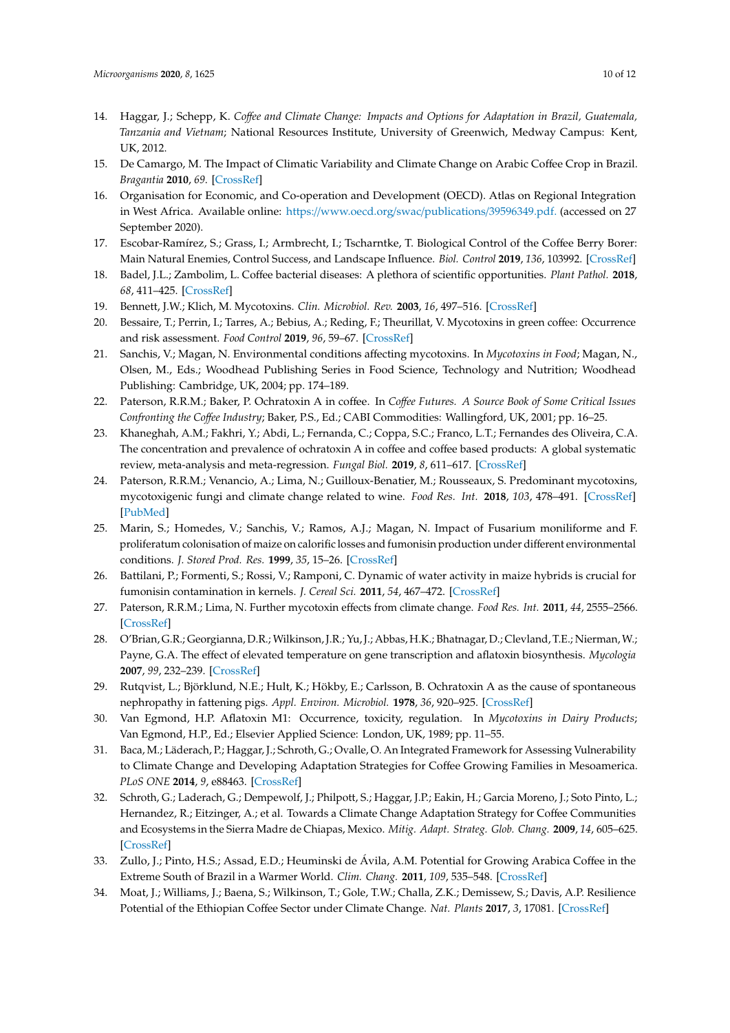- <span id="page-9-0"></span>14. Haggar, J.; Schepp, K. *Co*ff*ee and Climate Change: Impacts and Options for Adaptation in Brazil, Guatemala, Tanzania and Vietnam*; National Resources Institute, University of Greenwich, Medway Campus: Kent, UK, 2012.
- <span id="page-9-1"></span>15. De Camargo, M. The Impact of Climatic Variability and Climate Change on Arabic Coffee Crop in Brazil. *Bragantia* **2010**, *69*. [\[CrossRef\]](http://dx.doi.org/10.1590/S0006-87052010000100030)
- <span id="page-9-2"></span>16. Organisation for Economic, and Co-operation and Development (OECD). Atlas on Regional Integration in West Africa. Available online: https://[www.oecd.org](https://www.oecd.org/swac/publications/39596349.pdf.)/swac/publications/39596349.pdf. (accessed on 27 September 2020).
- <span id="page-9-3"></span>17. Escobar-Ramírez, S.; Grass, I.; Armbrecht, I.; Tscharntke, T. Biological Control of the Coffee Berry Borer: Main Natural Enemies, Control Success, and Landscape Influence. *Biol. Control* **2019**, *136*, 103992. [\[CrossRef\]](http://dx.doi.org/10.1016/j.biocontrol.2019.05.011)
- <span id="page-9-4"></span>18. Badel, J.L.; Zambolim, L. Coffee bacterial diseases: A plethora of scientific opportunities. *Plant Pathol.* **2018**, *68*, 411–425. [\[CrossRef\]](http://dx.doi.org/10.1111/ppa.12966)
- <span id="page-9-5"></span>19. Bennett, J.W.; Klich, M. Mycotoxins. *Clin. Microbiol. Rev.* **2003**, *16*, 497–516. [\[CrossRef\]](http://dx.doi.org/10.1128/CMR.16.3.497-516.2003)
- <span id="page-9-6"></span>20. Bessaire, T.; Perrin, I.; Tarres, A.; Bebius, A.; Reding, F.; Theurillat, V. Mycotoxins in green coffee: Occurrence and risk assessment. *Food Control* **2019**, *96*, 59–67. [\[CrossRef\]](http://dx.doi.org/10.1016/j.foodcont.2018.08.033)
- <span id="page-9-7"></span>21. Sanchis, V.; Magan, N. Environmental conditions affecting mycotoxins. In *Mycotoxins in Food*; Magan, N., Olsen, M., Eds.; Woodhead Publishing Series in Food Science, Technology and Nutrition; Woodhead Publishing: Cambridge, UK, 2004; pp. 174–189.
- <span id="page-9-8"></span>22. Paterson, R.R.M.; Baker, P. Ochratoxin A in coffee. In *Co*ff*ee Futures. A Source Book of Some Critical Issues Confronting the Co*ff*ee Industry*; Baker, P.S., Ed.; CABI Commodities: Wallingford, UK, 2001; pp. 16–25.
- <span id="page-9-9"></span>23. Khaneghah, A.M.; Fakhri, Y.; Abdi, L.; Fernanda, C.; Coppa, S.C.; Franco, L.T.; Fernandes des Oliveira, C.A. The concentration and prevalence of ochratoxin A in coffee and coffee based products: A global systematic review, meta-analysis and meta-regression. *Fungal Biol.* **2019**, *8*, 611–617. [\[CrossRef\]](http://dx.doi.org/10.1016/j.funbio.2019.05.012)
- <span id="page-9-10"></span>24. Paterson, R.R.M.; Venancio, A.; Lima, N.; Guilloux-Benatier, M.; Rousseaux, S. Predominant mycotoxins, mycotoxigenic fungi and climate change related to wine. *Food Res. Int.* **2018**, *103*, 478–491. [\[CrossRef\]](http://dx.doi.org/10.1016/j.foodres.2017.09.080) [\[PubMed\]](http://www.ncbi.nlm.nih.gov/pubmed/29389638)
- <span id="page-9-11"></span>25. Marin, S.; Homedes, V.; Sanchis, V.; Ramos, A.J.; Magan, N. Impact of Fusarium moniliforme and F. proliferatum colonisation of maize on calorific losses and fumonisin production under different environmental conditions. *J. Stored Prod. Res.* **1999**, *35*, 15–26. [\[CrossRef\]](http://dx.doi.org/10.1016/S0022-474X(98)00026-5)
- <span id="page-9-12"></span>26. Battilani, P.; Formenti, S.; Rossi, V.; Ramponi, C. Dynamic of water activity in maize hybrids is crucial for fumonisin contamination in kernels. *J. Cereal Sci.* **2011**, *54*, 467–472. [\[CrossRef\]](http://dx.doi.org/10.1016/j.jcs.2011.08.014)
- <span id="page-9-13"></span>27. Paterson, R.R.M.; Lima, N. Further mycotoxin effects from climate change. *Food Res. Int.* **2011**, *44*, 2555–2566. [\[CrossRef\]](http://dx.doi.org/10.1016/j.foodres.2011.05.038)
- <span id="page-9-14"></span>28. O'Brian, G.R.; Georgianna, D.R.; Wilkinson, J.R.; Yu, J.; Abbas, H.K.; Bhatnagar, D.; Clevland, T.E.; Nierman,W.; Payne, G.A. The effect of elevated temperature on gene transcription and aflatoxin biosynthesis. *Mycologia* **2007**, *99*, 232–239. [\[CrossRef\]](http://dx.doi.org/10.1080/15572536.2007.11832583)
- <span id="page-9-15"></span>29. Rutqvist, L.; Björklund, N.E.; Hult, K.; Hökby, E.; Carlsson, B. Ochratoxin A as the cause of spontaneous nephropathy in fattening pigs. *Appl. Environ. Microbiol.* **1978**, *36*, 920–925. [\[CrossRef\]](http://dx.doi.org/10.1128/AEM.36.6.920-925.1978)
- <span id="page-9-16"></span>30. Van Egmond, H.P. Aflatoxin M1: Occurrence, toxicity, regulation. In *Mycotoxins in Dairy Products*; Van Egmond, H.P., Ed.; Elsevier Applied Science: London, UK, 1989; pp. 11–55.
- <span id="page-9-17"></span>31. Baca, M.; Läderach, P.; Haggar, J.; Schroth, G.; Ovalle, O. An Integrated Framework for Assessing Vulnerability to Climate Change and Developing Adaptation Strategies for Coffee Growing Families in Mesoamerica. *PLoS ONE* **2014**, *9*, e88463. [\[CrossRef\]](http://dx.doi.org/10.1371/journal.pone.0088463)
- <span id="page-9-18"></span>32. Schroth, G.; Laderach, G.; Dempewolf, J.; Philpott, S.; Haggar, J.P.; Eakin, H.; Garcia Moreno, J.; Soto Pinto, L.; Hernandez, R.; Eitzinger, A.; et al. Towards a Climate Change Adaptation Strategy for Coffee Communities and Ecosystems in the Sierra Madre de Chiapas, Mexico. *Mitig. Adapt. Strateg. Glob. Chang.* **2009**, *14*, 605–625. [\[CrossRef\]](http://dx.doi.org/10.1007/s11027-009-9186-5)
- <span id="page-9-19"></span>33. Zullo, J.; Pinto, H.S.; Assad, E.D.; Heuminski de Ávila, A.M. Potential for Growing Arabica Coffee in the Extreme South of Brazil in a Warmer World. *Clim. Chang.* **2011**, *109*, 535–548. [\[CrossRef\]](http://dx.doi.org/10.1007/s10584-011-0058-0)
- <span id="page-9-20"></span>34. Moat, J.; Williams, J.; Baena, S.; Wilkinson, T.; Gole, T.W.; Challa, Z.K.; Demissew, S.; Davis, A.P. Resilience Potential of the Ethiopian Coffee Sector under Climate Change. *Nat. Plants* **2017**, *3*, 17081. [\[CrossRef\]](http://dx.doi.org/10.1038/nplants.2017.81)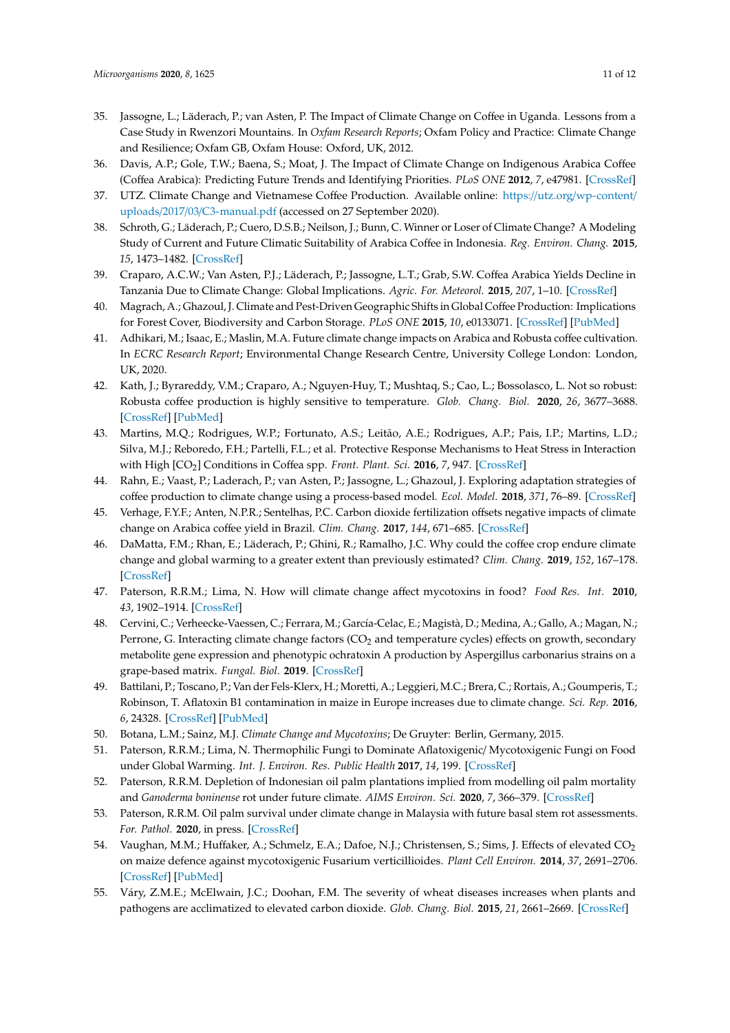- <span id="page-10-0"></span>35. Jassogne, L.; Läderach, P.; van Asten, P. The Impact of Climate Change on Coffee in Uganda. Lessons from a Case Study in Rwenzori Mountains. In *Oxfam Research Reports*; Oxfam Policy and Practice: Climate Change and Resilience; Oxfam GB, Oxfam House: Oxford, UK, 2012.
- <span id="page-10-1"></span>36. Davis, A.P.; Gole, T.W.; Baena, S.; Moat, J. The Impact of Climate Change on Indigenous Arabica Coffee (Coffea Arabica): Predicting Future Trends and Identifying Priorities. *PLoS ONE* **2012**, *7*, e47981. [\[CrossRef\]](http://dx.doi.org/10.1371/journal.pone.0047981)
- <span id="page-10-2"></span>37. UTZ. Climate Change and Vietnamese Coffee Production. Available online: https://utz.org/[wp-content](https://utz.org/wp-content/uploads/2017/03/C3-manual.pdf)/ uploads/2017/03/[C3-manual.pdf](https://utz.org/wp-content/uploads/2017/03/C3-manual.pdf) (accessed on 27 September 2020).
- <span id="page-10-3"></span>38. Schroth, G.; Läderach, P.; Cuero, D.S.B.; Neilson, J.; Bunn, C. Winner or Loser of Climate Change? A Modeling Study of Current and Future Climatic Suitability of Arabica Coffee in Indonesia. *Reg. Environ. Chang.* **2015**, *15*, 1473–1482. [\[CrossRef\]](http://dx.doi.org/10.1007/s10113-014-0713-x)
- <span id="page-10-4"></span>39. Craparo, A.C.W.; Van Asten, P.J.; Läderach, P.; Jassogne, L.T.; Grab, S.W. Coffea Arabica Yields Decline in Tanzania Due to Climate Change: Global Implications. *Agric. For. Meteorol.* **2015**, *207*, 1–10. [\[CrossRef\]](http://dx.doi.org/10.1016/j.agrformet.2015.03.005)
- <span id="page-10-5"></span>40. Magrach, A.; Ghazoul, J. Climate and Pest-Driven Geographic Shifts in Global Coffee Production: Implications for Forest Cover, Biodiversity and Carbon Storage. *PLoS ONE* **2015**, *10*, e0133071. [\[CrossRef\]](http://dx.doi.org/10.1371/journal.pone.0133071) [\[PubMed\]](http://www.ncbi.nlm.nih.gov/pubmed/26177201)
- <span id="page-10-6"></span>41. Adhikari, M.; Isaac, E.; Maslin, M.A. Future climate change impacts on Arabica and Robusta coffee cultivation. In *ECRC Research Report*; Environmental Change Research Centre, University College London: London, UK, 2020.
- <span id="page-10-7"></span>42. Kath, J.; Byrareddy, V.M.; Craparo, A.; Nguyen-Huy, T.; Mushtaq, S.; Cao, L.; Bossolasco, L. Not so robust: Robusta coffee production is highly sensitive to temperature. *Glob. Chang. Biol.* **2020**, *26*, 3677–3688. [\[CrossRef\]](http://dx.doi.org/10.1111/gcb.15097) [\[PubMed\]](http://www.ncbi.nlm.nih.gov/pubmed/32223007)
- <span id="page-10-8"></span>43. Martins, M.Q.; Rodrigues, W.P.; Fortunato, A.S.; Leitão, A.E.; Rodrigues, A.P.; Pais, I.P.; Martins, L.D.; Silva, M.J.; Reboredo, F.H.; Partelli, F.L.; et al. Protective Response Mechanisms to Heat Stress in Interaction with High [CO<sup>2</sup> ] Conditions in Coffea spp. *Front. Plant. Sci.* **2016**, *7*, 947. [\[CrossRef\]](http://dx.doi.org/10.3389/fpls.2016.00947)
- 44. Rahn, E.; Vaast, P.; Laderach, P.; van Asten, P.; Jassogne, L.; Ghazoul, J. Exploring adaptation strategies of coffee production to climate change using a process-based model. *Ecol. Model.* **2018**, *371*, 76–89. [\[CrossRef\]](http://dx.doi.org/10.1016/j.ecolmodel.2018.01.009)
- <span id="page-10-9"></span>45. Verhage, F.Y.F.; Anten, N.P.R.; Sentelhas, P.C. Carbon dioxide fertilization offsets negative impacts of climate change on Arabica coffee yield in Brazil. *Clim. Chang.* **2017**, *144*, 671–685. [\[CrossRef\]](http://dx.doi.org/10.1007/s10584-017-2068-z)
- <span id="page-10-10"></span>46. DaMatta, F.M.; Rhan, E.; Läderach, P.; Ghini, R.; Ramalho, J.C. Why could the coffee crop endure climate change and global warming to a greater extent than previously estimated? *Clim. Chang.* **2019**, *152*, 167–178. [\[CrossRef\]](http://dx.doi.org/10.1007/s10584-018-2346-4)
- <span id="page-10-11"></span>47. Paterson, R.R.M.; Lima, N. How will climate change affect mycotoxins in food? *Food Res. Int.* **2010**, *43*, 1902–1914. [\[CrossRef\]](http://dx.doi.org/10.1016/j.foodres.2009.07.010)
- <span id="page-10-12"></span>48. Cervini, C.; Verheecke-Vaessen, C.; Ferrara, M.; García-Celac, E.; Magistà, D.; Medina, A.; Gallo, A.; Magan, N.; Perrone, G. Interacting climate change factors (CO<sub>2</sub> and temperature cycles) effects on growth, secondary metabolite gene expression and phenotypic ochratoxin A production by Aspergillus carbonarius strains on a grape-based matrix. *Fungal. Biol.* **2019**. [\[CrossRef\]](http://dx.doi.org/10.1016/j.funbio.2019.11.001)
- <span id="page-10-13"></span>49. Battilani, P.; Toscano, P.; Van der Fels-Klerx, H.; Moretti, A.; Leggieri, M.C.; Brera, C.; Rortais, A.; Goumperis, T.; Robinson, T. Aflatoxin B1 contamination in maize in Europe increases due to climate change. *Sci. Rep.* **2016**, *6*, 24328. [\[CrossRef\]](http://dx.doi.org/10.1038/srep24328) [\[PubMed\]](http://www.ncbi.nlm.nih.gov/pubmed/27066906)
- <span id="page-10-14"></span>50. Botana, L.M.; Sainz, M.J. *Climate Change and Mycotoxins*; De Gruyter: Berlin, Germany, 2015.
- <span id="page-10-15"></span>51. Paterson, R.R.M.; Lima, N. Thermophilic Fungi to Dominate Aflatoxigenic/ Mycotoxigenic Fungi on Food under Global Warming. *Int. J. Environ. Res. Public Health* **2017**, *14*, 199. [\[CrossRef\]](http://dx.doi.org/10.3390/ijerph14020199)
- <span id="page-10-16"></span>52. Paterson, R.R.M. Depletion of Indonesian oil palm plantations implied from modelling oil palm mortality and *Ganoderma boninense* rot under future climate. *AIMS Environ. Sci.* **2020**, *7*, 366–379. [\[CrossRef\]](http://dx.doi.org/10.3934/environsci.2020024)
- <span id="page-10-17"></span>53. Paterson, R.R.M. Oil palm survival under climate change in Malaysia with future basal stem rot assessments. *For. Pathol.* **2020**, in press. [\[CrossRef\]](http://dx.doi.org/10.1111/efp.12604)
- <span id="page-10-18"></span>54. Vaughan, M.M.; Huffaker, A.; Schmelz, E.A.; Dafoe, N.J.; Christensen, S.; Sims, J. Effects of elevated CO<sub>2</sub> on maize defence against mycotoxigenic Fusarium verticillioides. *Plant Cell Environ.* **2014**, *37*, 2691–2706. [\[CrossRef\]](http://dx.doi.org/10.1111/pce.12337) [\[PubMed\]](http://www.ncbi.nlm.nih.gov/pubmed/24689748)
- <span id="page-10-19"></span>55. Váry, Z.M.E.; McElwain, J.C.; Doohan, F.M. The severity of wheat diseases increases when plants and pathogens are acclimatized to elevated carbon dioxide. *Glob. Chang. Biol.* **2015**, *21*, 2661–2669. [\[CrossRef\]](http://dx.doi.org/10.1111/gcb.12899)